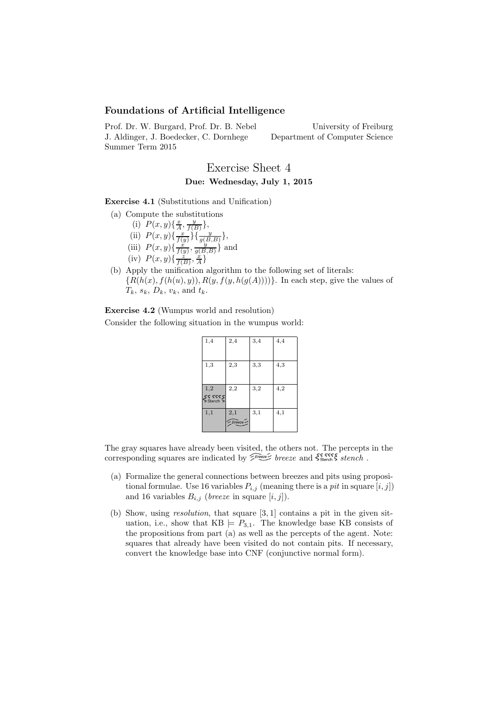## Foundations of Artificial Intelligence

Prof. Dr. W. Burgard, Prof. Dr. B. Nebel J. Aldinger, J. Boedecker, C. Dornhege Summer Term 2015

University of Freiburg Department of Computer Science

## Exercise Sheet 4 Due: Wednesday, July 1, 2015

Exercise 4.1 (Substitutions and Unification)

- (a) Compute the substitutions
	- (i)  $P(x, y) \{ \frac{x}{A}, \frac{y}{f(B)} \},$
	- (ii)  $P(x, y) \{\frac{x}{f(y)}\} \{\frac{y}{g(B, B)}\},\$
	- (iii)  $P(x,y)\{\frac{\partial}{\partial y},\frac{\partial}{\partial y},\frac{\partial}{\partial z}\}$  and
	- (iv)  $P(x,y)\{\frac{\sum x}{f(B)}, \frac{x}{A}\}\$
- (b) Apply the unification algorithm to the following set of literals:  ${R(h(x), f(h(u), y)), R(y, f(y, h(g(A))))}$ . In each step, give the values of  $T_k$ ,  $s_k$ ,  $D_k$ ,  $v_k$ , and  $t_k$ .

Exercise 4.2 (Wumpus world and resolution)

Consider the following situation in the wumpus world:

| 1,4                          | 2,4           | 3,4 | 4,4 |
|------------------------------|---------------|-----|-----|
| 1,3                          | 2,3           | 3,3 | 4,3 |
| 1,2<br>SS 5555<br>Sistench 5 | 2,2           | 3,2 | 4,2 |
| 1,1                          | 2,1<br>Breeze | 3,1 | 4,1 |

The gray squares have already been visited, the others not. The percepts in the corresponding squares are indicated by  $\widetilde{\mathcal{E}}_{\text{Bessel}}^{\text{Bessel}}$  breeze and  $\zeta_{\text{Stench}}^{\text{S}}$  stench.

- (a) Formalize the general connections between breezes and pits using propositional formulae. Use 16 variables  $P_{i,j}$  (meaning there is a pit in square  $[i, j]$ ) and 16 variables  $B_{i,j}$  (*breeze* in square  $[i, j]$ ).
- (b) Show, using resolution, that square [3, 1] contains a pit in the given situation, i.e., show that  $KB \models P_{3,1}$ . The knowledge base KB consists of the propositions from part (a) as well as the percepts of the agent. Note: squares that already have been visited do not contain pits. If necessary, convert the knowledge base into CNF (conjunctive normal form).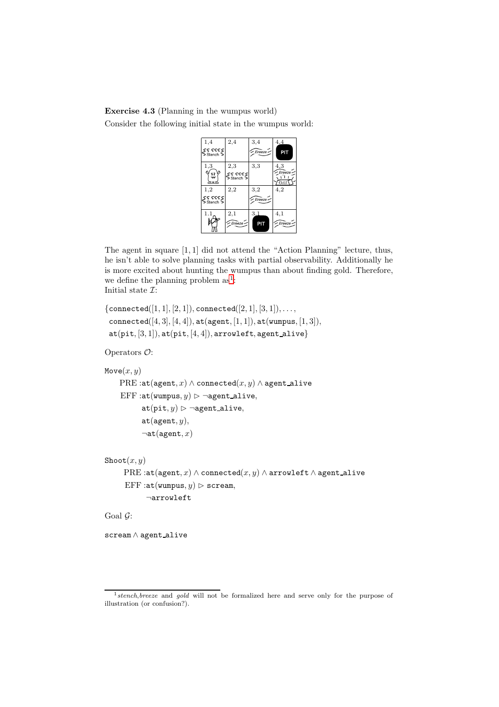Exercise 4.3 (Planning in the wumpus world) Consider the following initial state in the wumpus world:

| 1,4                  | 2,4                  | 3,4      | 4.4                  |
|----------------------|----------------------|----------|----------------------|
| SS 5555<br>Sitench 5 |                      | Breeze - | PIT                  |
| 1,3                  | 2,3                  | 3,3      | 4,3<br>$\leq$ Breeze |
| 흛<br>∠ی∈             | SS 5555<br>Sitench > |          | Gold                 |
| 1,2                  | 2,2                  | 3,2      | 4,2                  |
| 55555<br>Sstench S   |                      | Breeze   |                      |
| 1.1                  | 2,1                  | 3,1      | 4,1                  |
|                      | Breeze -             | PIT      | $- Breeze$           |

The agent in square [1, 1] did not attend the "Action Planning" lecture, thus, he isn't able to solve planning tasks with partial observability. Additionally he is more excited about hunting the wumpus than about finding gold. Therefore, we define the planning problem  $as^1$  $as^1$ : Initial state  $\mathcal{I}:$ 

```
{connected([1, 1], [2, 1]), connected([2, 1], [3, 1]), \ldots,}connected([4, 3], [4, 4]), \text{at}(agent, [1, 1]), \text{at}(wumpus, [1, 3]),at(pit, [3, 1]), at(pit, [4, 4]), arrowleft, agent_alive\}
```
Operators O:

```
Move(x, y)PRE :at(agent, x) \wedge connected(x, y) \wedge agent_alive
EFF : at(wumpus, y) \triangleright ¬agent_alive,
       at(pit, y) \triangleright \neg agent\_alive,at(agent, y),\negat(agent, x)
```

```
\text{Show}(x, y)PRE :at(agent, x) \land connected(x, y) \land arrowleft \land agent_alive
 EFF : at(wumpus, y) \triangleright scream,
        ¬arrowleft
```
Goal  $\mathcal{G}$ :

scream ∧ agent alive

<span id="page-1-0"></span><sup>&</sup>lt;sup>1</sup> stench, breeze and gold will not be formalized here and serve only for the purpose of illustration (or confusion?).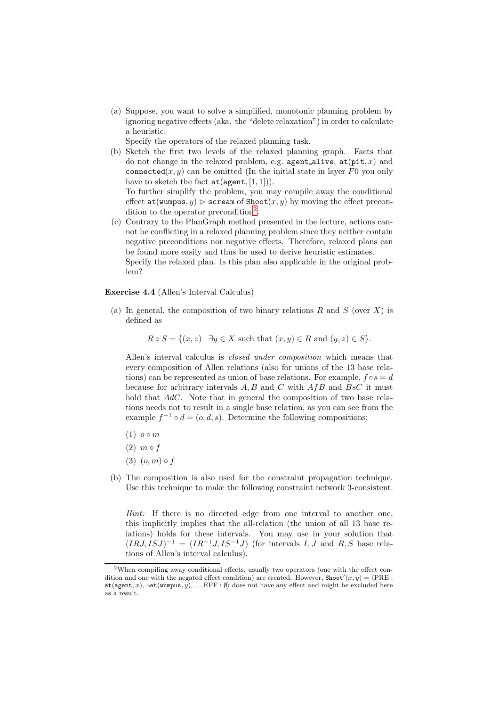(a) Suppose, you want to solve a simplified, monotonic planning problem by ignoring negative effects (aka. the "delete relaxation") in order to calculate a heuristic.

Specify the operators of the relaxed planning task.

(b) Sketch the first two levels of the relaxed planning graph. Facts that do not change in the relaxed problem, e.g. agent alive,  $at(pit, x)$  and connected(x, y) can be omitted (In the initial state in layer F0 you only have to sketch the fact  $at(agent, [1, 1])$ .

To further simplify the problem, you may compile away the conditional effect  $at(wumpus, y) >$  scream of Shoot $(x, y)$  by moving the effect precon-dition to the operator precondition<sup>[2](#page-2-0)</sup>.

(c) Contrary to the PlanGraph method presented in the lecture, actions cannot be conflicting in a relaxed planning problem since they neither contain negative preconditions nor negative effects. Therefore, relaxed plans can be found more easily and thus be used to derive heuristic estimates. Specify the relaxed plan. Is this plan also applicable in the original problem?

## Exercise 4.4 (Allen's Interval Calculus)

(a) In general, the composition of two binary relations R and S (over X) is defined as

 $R \circ S = \{(x, z) \mid \exists y \in X \text{ such that } (x, y) \in R \text{ and } (y, z) \in S\}.$ 

Allen's interval calculus is closed under composition which means that every composition of Allen relations (also for unions of the 13 base relations) can be represented as union of base relations. For example,  $f \circ s = d$ because for arbitrary intervals  $A, B$  and  $C$  with  $A f B$  and  $B s C$  it must hold that AdC. Note that in general the composition of two base relations needs not to result in a single base relation, as you can see from the example  $f^{-1} \circ d = (o, d, s)$ . Determine the following compositions:

- $(1)$   $o \circ m$
- $(2)$  m  $\circ$  f
- $(3)$   $(o, m) \circ f$
- (b) The composition is also used for the constraint propagation technique. Use this technique to make the following constraint network 3-consistent.

Hint: If there is no directed edge from one interval to another one, this implicitly implies that the all-relation (the union of all 13 base relations) holds for these intervals. You may use in your solution that  $(IRJ, ISJ)^{-1} = (IR^{-1}J, IS^{-1}J)$  (for intervals I, J and R, S base relations of Allen's interval calculus).

<span id="page-2-0"></span><sup>2</sup>When compiling away conditional effects, usually two operators (one with the effect condition and one with the negated effect condition) are created. However, Shoot' $(x, y) = \langle \text{PRE} :$ at(agent, x),  $\neg$ at(wumpus, y), ... EFF : Ø) does not have any effect and might be excluded here as a result.